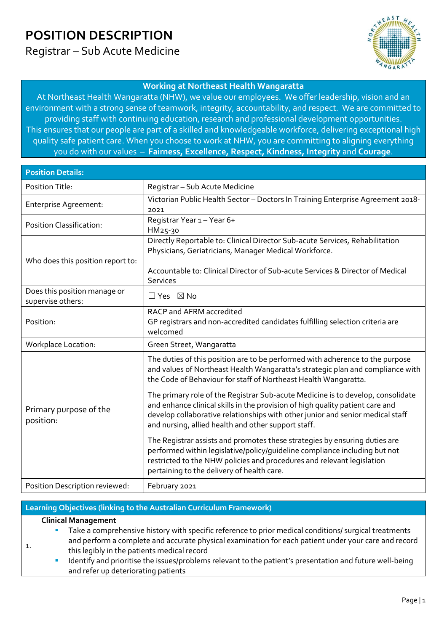Registrar – Sub Acute Medicine



#### **Working at Northeast Health Wangaratta**

At Northeast Health Wangaratta (NHW), we value our employees. We offer leadership, vision and an environment with a strong sense of teamwork, integrity, accountability, and respect. We are committed to providing staff with continuing education, research and professional development opportunities. This ensures that our people are part of a skilled and knowledgeable workforce, delivering exceptional high quality safe patient care. When you choose to work at NHW, you are committing to aligning everything you do with our values – **Fairness, Excellence, Respect, Kindness, Integrity** and **Courage**.

| <b>Position Details:</b>                          |                                                                                                                                                                                                                                                                                                           |  |  |  |  |
|---------------------------------------------------|-----------------------------------------------------------------------------------------------------------------------------------------------------------------------------------------------------------------------------------------------------------------------------------------------------------|--|--|--|--|
| <b>Position Title:</b>                            | Registrar - Sub Acute Medicine                                                                                                                                                                                                                                                                            |  |  |  |  |
| <b>Enterprise Agreement:</b>                      | Victorian Public Health Sector - Doctors In Training Enterprise Agreement 2018-<br>2021                                                                                                                                                                                                                   |  |  |  |  |
| <b>Position Classification:</b>                   | Registrar Year 1 - Year 6+<br>HM25-30                                                                                                                                                                                                                                                                     |  |  |  |  |
| Who does this position report to:                 | Directly Reportable to: Clinical Director Sub-acute Services, Rehabilitation<br>Physicians, Geriatricians, Manager Medical Workforce.<br>Accountable to: Clinical Director of Sub-acute Services & Director of Medical<br><b>Services</b>                                                                 |  |  |  |  |
| Does this position manage or<br>supervise others: | $\Box$ Yes $\boxtimes$ No                                                                                                                                                                                                                                                                                 |  |  |  |  |
| Position:                                         | RACP and AFRM accredited<br>GP registrars and non-accredited candidates fulfilling selection criteria are<br>welcomed                                                                                                                                                                                     |  |  |  |  |
| <b>Workplace Location:</b>                        | Green Street, Wangaratta                                                                                                                                                                                                                                                                                  |  |  |  |  |
|                                                   | The duties of this position are to be performed with adherence to the purpose<br>and values of Northeast Health Wangaratta's strategic plan and compliance with<br>the Code of Behaviour for staff of Northeast Health Wangaratta.                                                                        |  |  |  |  |
| Primary purpose of the<br>position:               | The primary role of the Registrar Sub-acute Medicine is to develop, consolidate<br>and enhance clinical skills in the provision of high quality patient care and<br>develop collaborative relationships with other junior and senior medical staff<br>and nursing, allied health and other support staff. |  |  |  |  |
|                                                   | The Registrar assists and promotes these strategies by ensuring duties are<br>performed within legislative/policy/guideline compliance including but not<br>restricted to the NHW policies and procedures and relevant legislation<br>pertaining to the delivery of health care.                          |  |  |  |  |
| Position Description reviewed:                    | February 2021                                                                                                                                                                                                                                                                                             |  |  |  |  |

#### **Learning Objectives (linking to the Australian Curriculum Framework)**

#### **Clinical Management**

1.

 Take a comprehensive history with specific reference to prior medical conditions/ surgical treatments and perform a complete and accurate physical examination for each patient under your care and record this legibly in the patients medical record

 Identify and prioritise the issues/problems relevant to the patient's presentation and future well-being and refer up deteriorating patients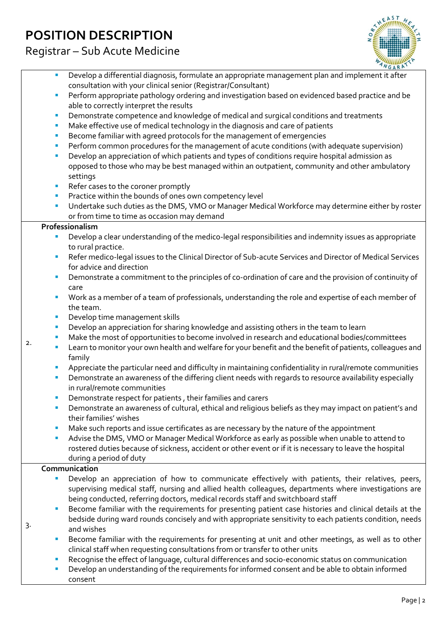Registrar – Sub Acute Medicine



- Develop a differential diagnosis, formulate an appropriate management plan and implement it after consultation with your clinical senior (Registrar/Consultant)
- **Perform appropriate pathology ordering and investigation based on evidenced based practice and be** able to correctly interpret the results
- **PEDEMONSTATE COMPETER COMPTER 2** Demonstrate competence and knowledge of medical and surgical conditions and treatments
- **Make effective use of medical technology in the diagnosis and care of patients**
- **Become familiar with agreed protocols for the management of emergencies**
- Perform common procedures for the management of acute conditions (with adequate supervision)
- Develop an appreciation of which patients and types of conditions require hospital admission as opposed to those who may be best managed within an outpatient, community and other ambulatory settings
- Refer cases to the coroner promptly
- **Practice within the bounds of ones own competency level**
- Undertake such duties as the DMS, VMO or Manager Medical Workforce may determine either by roster or from time to time as occasion may demand

#### **Professionalism**

2.

3.

- Develop a clear understanding of the medico-legal responsibilities and indemnity issues as appropriate to rural practice.
- Refer medico-legal issues to the Clinical Director of Sub-acute Services and Director of Medical Services for advice and direction
- **Demonstrate a commitment to the principles of co-ordination of care and the provision of continuity of** care
- Work as a member of a team of professionals, understanding the role and expertise of each member of the team.
- **Develop time management skills**
- **Develop an appreciation for sharing knowledge and assisting others in the team to learn**
- **Make the most of opportunities to become involved in research and educational bodies/committees**
- **Learn to monitor your own health and welfare for your benefit and the benefit of patients, colleagues and** family
- Appreciate the particular need and difficulty in maintaining confidentiality in rural/remote communities
- **Demonstrate an awareness of the differing client needs with regards to resource availability especially** in rural/remote communities
- **PEDEPERISHM** Demonstrate respect for patients, their families and carers
- **Demonstrate an awareness of cultural, ethical and religious beliefs as they may impact on patient's and** their families' wishes
- **Make such reports and issue certificates as are necessary by the nature of the appointment**
- Advise the DMS, VMO or Manager Medical Workforce as early as possible when unable to attend to rostered duties because of sickness, accident or other event or if it is necessary to leave the hospital during a period of duty

#### **Communication**

- Develop an appreciation of how to communicate effectively with patients, their relatives, peers, supervising medical staff, nursing and allied health colleagues, departments where investigations are being conducted, referring doctors, medical records staff and switchboard staff
- Become familiar with the requirements for presenting patient case histories and clinical details at the bedside during ward rounds concisely and with appropriate sensitivity to each patients condition, needs and wishes
- Become familiar with the requirements for presenting at unit and other meetings, as well as to other clinical staff when requesting consultations from or transfer to other units
- Recognise the effect of language, cultural differences and socio-economic status on communication
- Develop an understanding of the requirements for informed consent and be able to obtain informed consent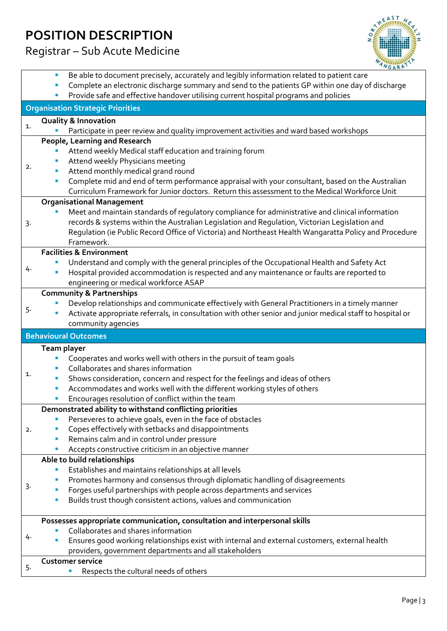### Registrar – Sub Acute Medicine



|                |                                                                                                  | Be able to document precisely, accurately and legibly information related to patient care                 |  |  |  |  |  |  |  |
|----------------|--------------------------------------------------------------------------------------------------|-----------------------------------------------------------------------------------------------------------|--|--|--|--|--|--|--|
|                | Complete an electronic discharge summary and send to the patients GP within one day of discharge |                                                                                                           |  |  |  |  |  |  |  |
|                | Provide safe and effective handover utilising current hospital programs and policies             |                                                                                                           |  |  |  |  |  |  |  |
|                |                                                                                                  | <b>Organisation Strategic Priorities</b>                                                                  |  |  |  |  |  |  |  |
| $\mathbf{1}$ . |                                                                                                  | <b>Quality &amp; Innovation</b>                                                                           |  |  |  |  |  |  |  |
|                |                                                                                                  | Participate in peer review and quality improvement activities and ward based workshops                    |  |  |  |  |  |  |  |
|                |                                                                                                  | People, Learning and Research                                                                             |  |  |  |  |  |  |  |
|                |                                                                                                  | Attend weekly Medical staff education and training forum                                                  |  |  |  |  |  |  |  |
|                |                                                                                                  | Attend weekly Physicians meeting                                                                          |  |  |  |  |  |  |  |
| 2.             |                                                                                                  | Attend monthly medical grand round                                                                        |  |  |  |  |  |  |  |
|                | ш                                                                                                | Complete mid and end of term performance appraisal with your consultant, based on the Australian          |  |  |  |  |  |  |  |
|                |                                                                                                  | Curriculum Framework for Junior doctors. Return this assessment to the Medical Workforce Unit             |  |  |  |  |  |  |  |
|                |                                                                                                  | <b>Organisational Management</b>                                                                          |  |  |  |  |  |  |  |
|                |                                                                                                  | Meet and maintain standards of regulatory compliance for administrative and clinical information          |  |  |  |  |  |  |  |
| 3.             |                                                                                                  | records & systems within the Australian Legislation and Regulation, Victorian Legislation and             |  |  |  |  |  |  |  |
|                |                                                                                                  | Regulation (ie Public Record Office of Victoria) and Northeast Health Wangaratta Policy and Procedure     |  |  |  |  |  |  |  |
|                |                                                                                                  | Framework.                                                                                                |  |  |  |  |  |  |  |
|                |                                                                                                  | <b>Facilities &amp; Environment</b>                                                                       |  |  |  |  |  |  |  |
|                |                                                                                                  | Understand and comply with the general principles of the Occupational Health and Safety Act               |  |  |  |  |  |  |  |
| 4.             |                                                                                                  | Hospital provided accommodation is respected and any maintenance or faults are reported to                |  |  |  |  |  |  |  |
|                |                                                                                                  | engineering or medical workforce ASAP                                                                     |  |  |  |  |  |  |  |
|                |                                                                                                  | <b>Community &amp; Partnerships</b>                                                                       |  |  |  |  |  |  |  |
|                |                                                                                                  | Develop relationships and communicate effectively with General Practitioners in a timely manner           |  |  |  |  |  |  |  |
| 5.             |                                                                                                  | Activate appropriate referrals, in consultation with other senior and junior medical staff to hospital or |  |  |  |  |  |  |  |
|                |                                                                                                  |                                                                                                           |  |  |  |  |  |  |  |
|                |                                                                                                  | community agencies                                                                                        |  |  |  |  |  |  |  |
|                |                                                                                                  | <b>Behavioural Outcomes</b>                                                                               |  |  |  |  |  |  |  |
|                | Team player                                                                                      |                                                                                                           |  |  |  |  |  |  |  |
|                |                                                                                                  | Cooperates and works well with others in the pursuit of team goals                                        |  |  |  |  |  |  |  |
|                |                                                                                                  | Collaborates and shares information                                                                       |  |  |  |  |  |  |  |
| 1.             |                                                                                                  | Shows consideration, concern and respect for the feelings and ideas of others                             |  |  |  |  |  |  |  |
|                | ш                                                                                                | Accommodates and works well with the different working styles of others                                   |  |  |  |  |  |  |  |
|                |                                                                                                  | Encourages resolution of conflict within the team                                                         |  |  |  |  |  |  |  |
|                |                                                                                                  | Demonstrated ability to withstand conflicting priorities                                                  |  |  |  |  |  |  |  |
|                |                                                                                                  | Perseveres to achieve goals, even in the face of obstacles                                                |  |  |  |  |  |  |  |
| 2.             |                                                                                                  | Copes effectively with setbacks and disappointments                                                       |  |  |  |  |  |  |  |
|                |                                                                                                  | Remains calm and in control under pressure                                                                |  |  |  |  |  |  |  |
|                |                                                                                                  | Accepts constructive criticism in an objective manner                                                     |  |  |  |  |  |  |  |
|                |                                                                                                  | Able to build relationships                                                                               |  |  |  |  |  |  |  |
|                |                                                                                                  | Establishes and maintains relationships at all levels                                                     |  |  |  |  |  |  |  |
|                |                                                                                                  | Promotes harmony and consensus through diplomatic handling of disagreements                               |  |  |  |  |  |  |  |
| 3.             | ш                                                                                                | Forges useful partnerships with people across departments and services                                    |  |  |  |  |  |  |  |
|                |                                                                                                  | Builds trust though consistent actions, values and communication                                          |  |  |  |  |  |  |  |
|                |                                                                                                  | Possesses appropriate communication, consultation and interpersonal skills                                |  |  |  |  |  |  |  |
|                |                                                                                                  | Collaborates and shares information                                                                       |  |  |  |  |  |  |  |
| 4.             |                                                                                                  | Ensures good working relationships exist with internal and external customers, external health            |  |  |  |  |  |  |  |
|                |                                                                                                  | providers, government departments and all stakeholders                                                    |  |  |  |  |  |  |  |
| 5.             |                                                                                                  | <b>Customer service</b><br>Respects the cultural needs of others                                          |  |  |  |  |  |  |  |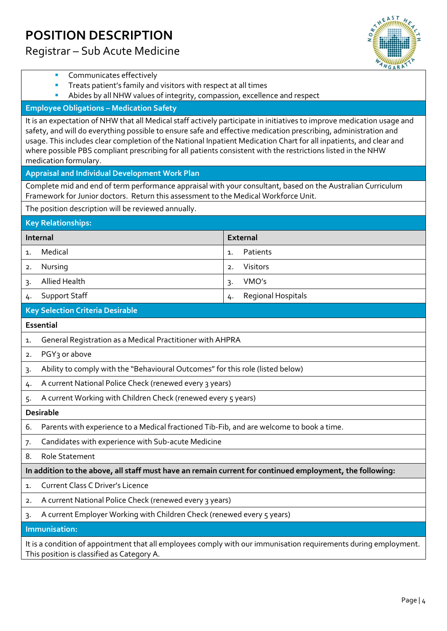Registrar – Sub Acute Medicine



|                                                                                                                                                                                                                                                                                                                                                                                                                                                                                                          | ANGARATTY                |  |  |  |  |  |  |
|----------------------------------------------------------------------------------------------------------------------------------------------------------------------------------------------------------------------------------------------------------------------------------------------------------------------------------------------------------------------------------------------------------------------------------------------------------------------------------------------------------|--------------------------|--|--|--|--|--|--|
| Communicates effectively                                                                                                                                                                                                                                                                                                                                                                                                                                                                                 |                          |  |  |  |  |  |  |
| Treats patient's family and visitors with respect at all times<br>Abides by all NHW values of integrity, compassion, excellence and respect                                                                                                                                                                                                                                                                                                                                                              |                          |  |  |  |  |  |  |
| <b>Employee Obligations - Medication Safety</b>                                                                                                                                                                                                                                                                                                                                                                                                                                                          |                          |  |  |  |  |  |  |
| It is an expectation of NHW that all Medical staff actively participate in initiatives to improve medication usage and<br>safety, and will do everything possible to ensure safe and effective medication prescribing, administration and<br>usage. This includes clear completion of the National Inpatient Medication Chart for all inpatients, and clear and<br>where possible PBS compliant prescribing for all patients consistent with the restrictions listed in the NHW<br>medication formulary. |                          |  |  |  |  |  |  |
| <b>Appraisal and Individual Development Work Plan</b>                                                                                                                                                                                                                                                                                                                                                                                                                                                    |                          |  |  |  |  |  |  |
| Complete mid and end of term performance appraisal with your consultant, based on the Australian Curriculum<br>Framework for Junior doctors. Return this assessment to the Medical Workforce Unit.                                                                                                                                                                                                                                                                                                       |                          |  |  |  |  |  |  |
| The position description will be reviewed annually.                                                                                                                                                                                                                                                                                                                                                                                                                                                      |                          |  |  |  |  |  |  |
| <b>Key Relationships:</b>                                                                                                                                                                                                                                                                                                                                                                                                                                                                                |                          |  |  |  |  |  |  |
| Internal                                                                                                                                                                                                                                                                                                                                                                                                                                                                                                 | <b>External</b>          |  |  |  |  |  |  |
| Medical<br>1.                                                                                                                                                                                                                                                                                                                                                                                                                                                                                            | Patients<br>1.           |  |  |  |  |  |  |
| Nursing<br>2.                                                                                                                                                                                                                                                                                                                                                                                                                                                                                            | Visitors<br>2.           |  |  |  |  |  |  |
| <b>Allied Health</b><br>3.                                                                                                                                                                                                                                                                                                                                                                                                                                                                               | VMO's<br>3.              |  |  |  |  |  |  |
| <b>Support Staff</b><br>4.                                                                                                                                                                                                                                                                                                                                                                                                                                                                               | Regional Hospitals<br>4. |  |  |  |  |  |  |
| <b>Key Selection Criteria Desirable</b>                                                                                                                                                                                                                                                                                                                                                                                                                                                                  |                          |  |  |  |  |  |  |
| Essential                                                                                                                                                                                                                                                                                                                                                                                                                                                                                                |                          |  |  |  |  |  |  |
| General Registration as a Medical Practitioner with AHPRA<br>1.                                                                                                                                                                                                                                                                                                                                                                                                                                          |                          |  |  |  |  |  |  |
| PGY <sub>3</sub> or above                                                                                                                                                                                                                                                                                                                                                                                                                                                                                |                          |  |  |  |  |  |  |
| 2.                                                                                                                                                                                                                                                                                                                                                                                                                                                                                                       |                          |  |  |  |  |  |  |
| Ability to comply with the "Behavioural Outcomes" for this role (listed below)<br>3.                                                                                                                                                                                                                                                                                                                                                                                                                     |                          |  |  |  |  |  |  |
| A current National Police Check (renewed every 3 years)<br>4.                                                                                                                                                                                                                                                                                                                                                                                                                                            |                          |  |  |  |  |  |  |
| A current Working with Children Check (renewed every 5 years)                                                                                                                                                                                                                                                                                                                                                                                                                                            |                          |  |  |  |  |  |  |
| <b>Desirable</b>                                                                                                                                                                                                                                                                                                                                                                                                                                                                                         |                          |  |  |  |  |  |  |
| Parents with experience to a Medical fractioned Tib-Fib, and are welcome to book a time.<br>6.                                                                                                                                                                                                                                                                                                                                                                                                           |                          |  |  |  |  |  |  |
| Candidates with experience with Sub-acute Medicine<br>7.                                                                                                                                                                                                                                                                                                                                                                                                                                                 |                          |  |  |  |  |  |  |
| <b>Role Statement</b><br>8.                                                                                                                                                                                                                                                                                                                                                                                                                                                                              |                          |  |  |  |  |  |  |
| In addition to the above, all staff must have an remain current for continued employment, the following:                                                                                                                                                                                                                                                                                                                                                                                                 |                          |  |  |  |  |  |  |
| <b>Current Class C Driver's Licence</b><br>1.                                                                                                                                                                                                                                                                                                                                                                                                                                                            |                          |  |  |  |  |  |  |
| A current National Police Check (renewed every 3 years)<br>2.                                                                                                                                                                                                                                                                                                                                                                                                                                            |                          |  |  |  |  |  |  |
| A current Employer Working with Children Check (renewed every 5 years)<br>3.                                                                                                                                                                                                                                                                                                                                                                                                                             |                          |  |  |  |  |  |  |
| Immunisation:                                                                                                                                                                                                                                                                                                                                                                                                                                                                                            |                          |  |  |  |  |  |  |

This position is classified as Category A.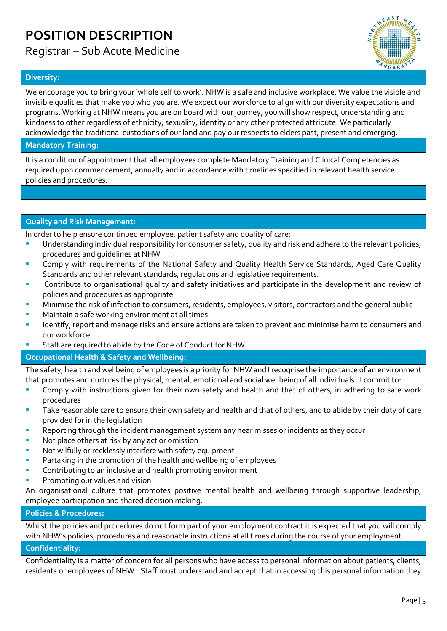### Registrar – Sub Acute Medicine



#### **Diversity:**

We encourage you to bring your 'whole self to work'. NHW is a safe and inclusive workplace. We value the visible and invisible qualities that make you who you are. We expect our workforce to align with our diversity expectations and programs. Working at NHW means you are on board with our journey, you will show respect, understanding and kindness to other regardless of ethnicity, sexuality, identity or any other protected attribute. We particularly acknowledge the traditional custodians of our land and pay our respects to elders past, present and emerging.

#### **Mandatory Training:**

It is a condition of appointment that all employees complete Mandatory Training and Clinical Competencies as required upon commencement, annually and in accordance with timelines specified in relevant health service policies and procedures.

#### **Quality and Risk Management:**

In order to help ensure continued employee, patient safety and quality of care:

- Understanding individual responsibility for consumer safety, quality and risk and adhere to the relevant policies, procedures and guidelines at NHW
- **EXTENDI** Comply with requirements of the National Safety and Quality Health Service Standards, Aged Care Quality Standards and other relevant standards, regulations and legislative requirements.
- Contribute to organisational quality and safety initiatives and participate in the development and review of policies and procedures as appropriate
- Minimise the risk of infection to consumers, residents, employees, visitors, contractors and the general public
- Maintain a safe working environment at all times
- Identify, report and manage risks and ensure actions are taken to prevent and minimise harm to consumers and our workforce
- Staff are required to abide by the Code of Conduct for NHW.

#### **Occupational Health & Safety and Wellbeing:**

The safety, health and wellbeing of employees is a priority for NHW and I recognise the importance of an environment that promotes and nurtures the physical, mental, emotional and social wellbeing of all individuals. I commit to:

- Comply with instructions given for their own safety and health and that of others, in adhering to safe work procedures
- Take reasonable care to ensure their own safety and health and that of others, and to abide by their duty of care provided for in the legislation
- Reporting through the incident management system any near misses or incidents as they occur
- Not place others at risk by any act or omission
- Not wilfully or recklessly interfere with safety equipment
- **Partaking in the promotion of the health and wellbeing of employees**
- Contributing to an inclusive and health promoting environment
- Promoting our values and vision

An organisational culture that promotes positive mental health and wellbeing through supportive leadership, employee participation and shared decision making.

#### **Policies & Procedures:**

Whilst the policies and procedures do not form part of your employment contract it is expected that you will comply with NHW's policies, procedures and reasonable instructions at all times during the course of your employment.

#### **Confidentiality:**

Confidentiality is a matter of concern for all persons who have access to personal information about patients, clients, residents or employees of NHW. Staff must understand and accept that in accessing this personal information they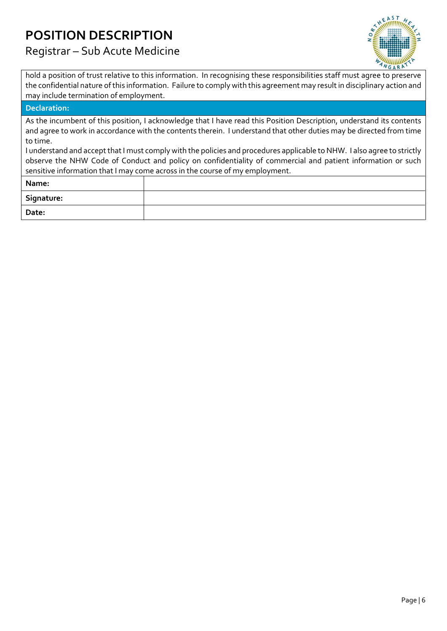Registrar – Sub Acute Medicine



hold a position of trust relative to this information. In recognising these responsibilities staff must agree to preserve the confidential nature of this information. Failure to comply with this agreement may result in disciplinary action and may include termination of employment.

#### **Declaration:**

As the incumbent of this position, I acknowledge that I have read this Position Description, understand its contents and agree to work in accordance with the contents therein. I understand that other duties may be directed from time to time.

I understand and accept that I must comply with the policies and procedures applicable to NHW. I also agree to strictly observe the NHW Code of Conduct and policy on confidentiality of commercial and patient information or such sensitive information that I may come across in the course of my employment.

| Name:      |  |
|------------|--|
| Signature: |  |
| Date:      |  |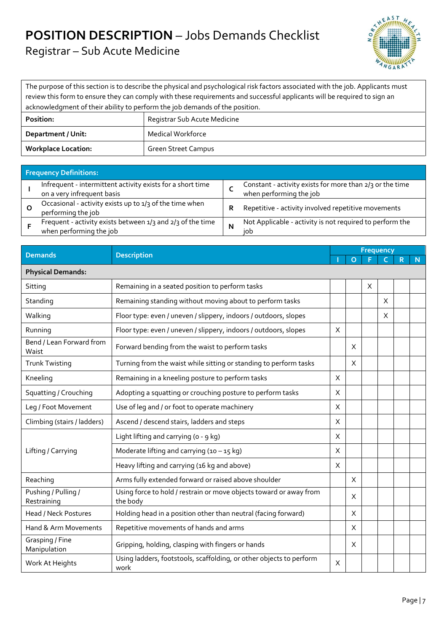## **POSITION DESCRIPTION** – Jobs Demands Checklist

Registrar – Sub Acute Medicine



The purpose of this section is to describe the physical and psychological risk factors associated with the job. Applicants must review this form to ensure they can comply with these requirements and successful applicants will be required to sign an acknowledgment of their ability to perform the job demands of the position. **Position:** Registrar Sub Acute Medicine

| <b>Workplace Location:</b> | Green Street Campus          |
|----------------------------|------------------------------|
| Department / Unit:         | Medical Workforce            |
| <b>POSITION:</b>           | Registrar Sub Acute Medicine |

| <b>Frequency Definitions:</b>                                                            |   |                                                                                     |
|------------------------------------------------------------------------------------------|---|-------------------------------------------------------------------------------------|
| Infrequent - intermittent activity exists for a short time<br>on a very infrequent basis |   | Constant - activity exists for more than 2/3 or the time<br>when performing the job |
| Occasional - activity exists up to 1/3 of the time when<br>performing the job            | R | Repetitive - activity involved repetitive movements                                 |
| Frequent - activity exists between 1/3 and 2/3 of the time<br>when performing the job    | N | Not Applicable - activity is not required to perform the<br>iob                     |

| <b>Demands</b>                     | <b>Description</b>                                                             |          | <b>Frequency</b> |   |          |  |   |  |  |  |
|------------------------------------|--------------------------------------------------------------------------------|----------|------------------|---|----------|--|---|--|--|--|
|                                    |                                                                                |          | $\Omega$         |   |          |  | N |  |  |  |
| <b>Physical Demands:</b>           |                                                                                |          |                  |   |          |  |   |  |  |  |
| Sitting                            | Remaining in a seated position to perform tasks                                |          |                  | X |          |  |   |  |  |  |
| Standing                           | Remaining standing without moving about to perform tasks                       |          |                  |   | X        |  |   |  |  |  |
| Walking                            | Floor type: even / uneven / slippery, indoors / outdoors, slopes               |          |                  |   | $\times$ |  |   |  |  |  |
| Running                            | Floor type: even / uneven / slippery, indoors / outdoors, slopes               | X        |                  |   |          |  |   |  |  |  |
| Bend / Lean Forward from<br>Waist  | Forward bending from the waist to perform tasks                                |          | X                |   |          |  |   |  |  |  |
| <b>Trunk Twisting</b>              | Turning from the waist while sitting or standing to perform tasks              |          | X                |   |          |  |   |  |  |  |
| Kneeling                           | Remaining in a kneeling posture to perform tasks                               | X        |                  |   |          |  |   |  |  |  |
| Squatting / Crouching              | Adopting a squatting or crouching posture to perform tasks                     | X        |                  |   |          |  |   |  |  |  |
| Leg / Foot Movement                | Use of leg and / or foot to operate machinery                                  | X        |                  |   |          |  |   |  |  |  |
| Climbing (stairs / ladders)        | Ascend / descend stairs, ladders and steps                                     | X        |                  |   |          |  |   |  |  |  |
|                                    | Light lifting and carrying (o - 9 kg)                                          | $\times$ |                  |   |          |  |   |  |  |  |
| Lifting / Carrying                 | Moderate lifting and carrying $(10 - 15$ kg)                                   | X        |                  |   |          |  |   |  |  |  |
|                                    | Heavy lifting and carrying (16 kg and above)                                   | X        |                  |   |          |  |   |  |  |  |
| Reaching                           | Arms fully extended forward or raised above shoulder                           |          | X                |   |          |  |   |  |  |  |
| Pushing / Pulling /<br>Restraining | Using force to hold / restrain or move objects toward or away from<br>the body |          | X                |   |          |  |   |  |  |  |
| Head / Neck Postures               | Holding head in a position other than neutral (facing forward)                 |          | X                |   |          |  |   |  |  |  |
| Hand & Arm Movements               | Repetitive movements of hands and arms                                         |          | X                |   |          |  |   |  |  |  |
| Grasping / Fine<br>Manipulation    | Gripping, holding, clasping with fingers or hands                              |          | X                |   |          |  |   |  |  |  |
| Work At Heights                    | Using ladders, footstools, scaffolding, or other objects to perform<br>work    | X        |                  |   |          |  |   |  |  |  |